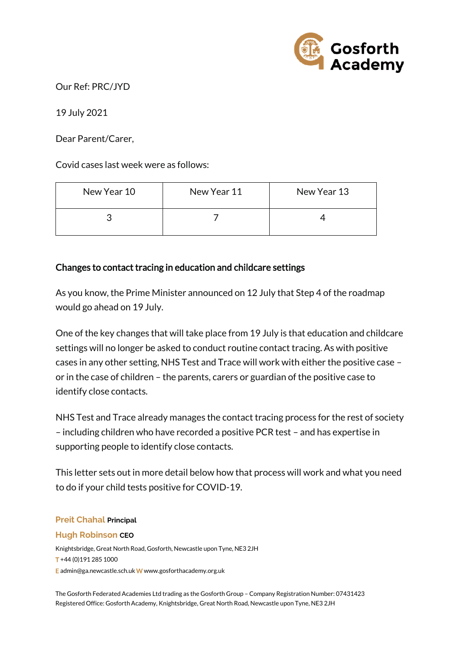

Our Ref: PRC/JYD

19 July 2021

Dear Parent/Carer,

Covid cases last week were as follows:

| New Year 10 | New Year 11 | New Year 13 |
|-------------|-------------|-------------|
|             |             |             |

# Changes to contact tracing in education and childcare settings

As you know, the Prime Minister announced on 12 July that Step 4 of the roadmap would go ahead on 19 July.

One of the key changes that will take place from 19 July is that education and childcare settings will no longer be asked to conduct routine contact tracing. As with positive cases in any other setting, NHS Test and Trace will work with either the positive case – or in the case of children – the parents, carers or guardian of the positive case to identify close contacts.

NHS Test and Trace already manages the contact tracing process for the rest of society – including children who have recorded a positive PCR test – and has expertise in supporting people to identify close contacts.

This letter sets out in more detail below how that process will work and what you need to do if your child tests positive for COVID-19.

### **Preit Chahal Principal**

### **Hugh Robinson CEO**

Knightsbridge, Great North Road, Gosforth, Newcastle upon Tyne, NE3 2JH T +44 (0)191 285 1000 E admin@ga.newcastle.sch.uk W [www.gosforthacademy.org.uk](http://www.gosforthacademy.org.uk/)

The Gosforth Federated Academies Ltd trading as the Gosforth Group – Company Registration Number: 07431423 Registered Office: Gosforth Academy, Knightsbridge, Great North Road, Newcastle upon Tyne, NE3 2JH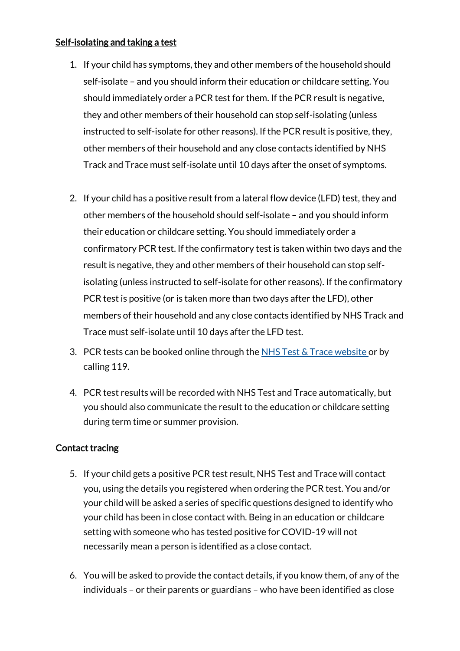# Self-isolating and taking a test

- 1. If your child has symptoms, they and other members of the household should self-isolate – and you should inform their education or childcare setting. You should immediately order a PCR test for them. If the PCR result is negative, they and other members of their household can stop self-isolating (unless instructed to self-isolate for other reasons). If the PCR result is positive, they, other members of their household and any close contacts identified by NHS Track and Trace must self-isolate until 10 days after the onset of symptoms.
- 2. If your child has a positive result from a lateral flow device (LFD) test, they and other members of the household should self-isolate – and you should inform their education or childcare setting. You should immediately order a confirmatory PCR test. If the confirmatory test is taken within two days and the result is negative, they and other members of their household can stop selfisolating (unless instructed to self-isolate for other reasons). If the confirmatory PCR test is positive (or is taken more than two days after the LFD), other members of their household and any close contacts identified by NHS Track and Trace must self-isolate until 10 days after the LFD test.
- 3. PCR tests can be booked online through the NHS Test  $&$  Trace website or by calling 119.
- 4. PCR test results will be recorded with NHS Test and Trace automatically, but you should also communicate the result to the education or childcare setting during term time or summer provision.

# Contact tracing

- 5. If your child gets a positive PCR test result, NHS Test and Trace will contact you, using the details you registered when ordering the PCR test. You and/or your child will be asked a series of specific questions designed to identify who your child has been in close contact with. Being in an education or childcare setting with someone who has tested positive for COVID-19 will not necessarily mean a person is identified as a close contact.
- 6. You will be asked to provide the contact details, if you know them, of any of the individuals – or their parents or guardians – who have been identified as close